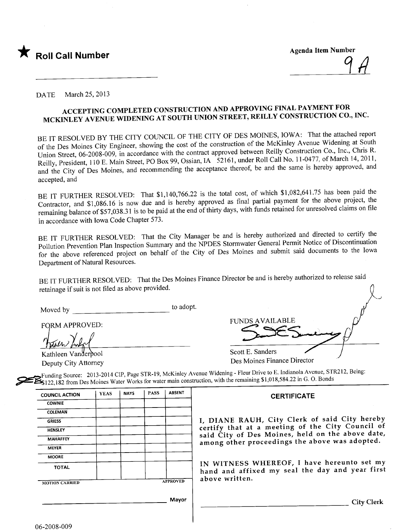

DATE March 25, 2013

## ACCEPTING COMPLETED CONSTRUCTION AND APPROVING FINAL PAYMENT FOR MCKINLEY AVENUE WIDENING AT SOUTH UNION STREET, REILLY CONSTRUCTION CO., INC.

BE IT RESOLVED BY THE CITY COUNCIL OF THE CITY OF DES MOINES, IOWA: That the attached report of the Des Moines City Engineer, showing the cost of the construction of the McKinley A venue Widening at South Union Street, 06-2008-009, in accordance with the contract approved between Reily Construction Co., Inc., Chris R. Reilly, President, 110 E. Main Street, PO Box 99, Ossian, IA 52161, under Roll Call No. 11-0477, of March 14, 2011, and the City of Des Moines, and recommending the acceptance thereof, be and the same is hereby approved, and accepted, and

BE IT FURTHER RESOLVED: That \$1,140,766.22 is the total cost, of which \$1,082,641.75 has been paid the Contractor, and \$1,086.16 is now due and is hereby approved as final partial payment for the above project, the remaining balance of \$57,038.31 is to be paid at the end of thirty days, with funds retained for unresolved claims on file in accordance with Iowa Code Chapter 573.

BE IT FURTHER RESOLVED: That the City Manager be and is hereby authorized and directed to certify the Pollution Prevention Plan Inspection Summary and the NPDES Stormwater General Permit Notice of Discontinuation for the above referenced project on behalf of the City of Des Moines and submit said documents to the Iowa Department of Natural Resources.

BE IT FURTHER RESOLVED: That the Des Moines Finance Director be and is hereby authorized to release said retainage if suit is not fied as above provided. n

Moved by the contract of the contract of the depth of the contract of the contract of the contract of the contract of the contract of the contract of the contract of the contract of the contract of the contract of the cont

FORM APPROVED:

Kathleen Vanderpool

Deputy City Attorney

| <b>FUNDS AVAILABLE</b>               |  |
|--------------------------------------|--|
| Scott E. Sanders<br>- ·<br>$-1$<br>. |  |

Des Moines Finance Director

 $\rightarrow$  Funding Source: 2013-2014 City, Page STR-19, Method Funding Source: 2013-2014 CIP, Page STR-19, McKinley Avenue Widening - Fleur Drive to E. Indianola Avenue, STR212, Being:  $\sim$  5122,182 from Des Moines water Works for water main construction, with the remaining  $\sim$  3.1858.22 in G. O. Bonds in G. O. Bonds in G. O. Bonds in G. O. Bonds in G. O. Bonds in G. O. Bonds in G. O. Bonds in G. Bonds

# COUNCIL ACTION | YEAS | NAYS | PASS | ABSENT **COWNIE** COLEMAN **MAHAFFEY MEYER MOORE** MOTION CARRIED **APPROVED** above written.

## **CERTIFICATE**

GRIESS I, DIANE RAUH, City Clerk of said City hereby HENSLEY **HENSLEY** certify that at a meeting of the City Council of said City of Des Moines, held on the above date, among other proceedings the above was adopted.

TOTAL **IN WITNESS WHEREOF**, I have hereunto set my hand and affixed my seal the day and year first

Mayor | City Clerk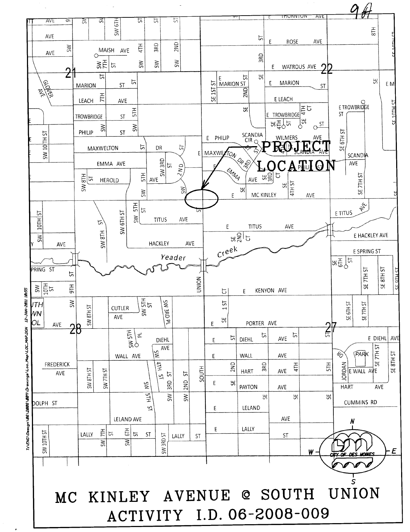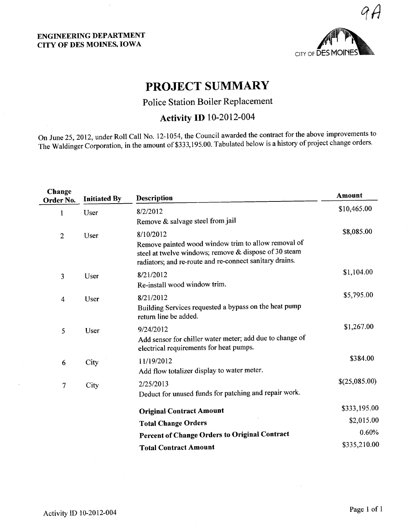

# PROJECT SUMMARY

Police Station Boiler Replacement

## Activity ID 10-2012-004

On June 25,2012, under Roll Call No. 12-1054, the Council awarded the contract for the above improvements to The Waldinger Corporation, in the amount of \$333,195.00. Tabulated below is a history of project change orders

| Change<br>Order No.             | <b>Initiated By</b> | <b>Description</b>                                                                                                                                                      | Amount        |
|---------------------------------|---------------------|-------------------------------------------------------------------------------------------------------------------------------------------------------------------------|---------------|
| $\mathbf{1}$                    | User                | 8/2/2012                                                                                                                                                                | \$10,465.00   |
|                                 |                     | Remove & salvage steel from jail                                                                                                                                        |               |
| $\overline{2}$                  | User                | 8/10/2012                                                                                                                                                               | \$8,085.00    |
|                                 |                     | Remove painted wood window trim to allow removal of<br>steel at twelve windows; remove & dispose of 30 steam<br>radiators; and re-route and re-connect sanitary drains. |               |
| 3                               | User                | 8/21/2012                                                                                                                                                               | \$1,104.00    |
|                                 |                     | Re-install wood window trim.                                                                                                                                            |               |
| User<br>$\overline{\mathbf{4}}$ |                     | 8/21/2012                                                                                                                                                               | \$5,795.00    |
|                                 |                     | Building Services requested a bypass on the heat pump<br>return line be added.                                                                                          |               |
| 5<br>User                       |                     | 9/24/2012                                                                                                                                                               | \$1,267.00    |
|                                 |                     | Add sensor for chiller water meter; add due to change of<br>electrical requirements for heat pumps.                                                                     |               |
| 6                               | City                | 11/19/2012                                                                                                                                                              | \$384.00      |
|                                 |                     | Add flow totalizer display to water meter.                                                                                                                              |               |
| 7                               | City                | 2/25/2013                                                                                                                                                               | \$(25,085.00) |
|                                 |                     | Deduct for unused funds for patching and repair work.                                                                                                                   |               |
|                                 |                     | <b>Original Contract Amount</b>                                                                                                                                         | \$333,195.00  |
|                                 |                     | <b>Total Change Orders</b>                                                                                                                                              | \$2,015.00    |
|                                 |                     | Percent of Change Orders to Original Contract                                                                                                                           | 0.60%         |
|                                 |                     | <b>Total Contract Amount</b>                                                                                                                                            | \$335,210.00  |
|                                 |                     |                                                                                                                                                                         |               |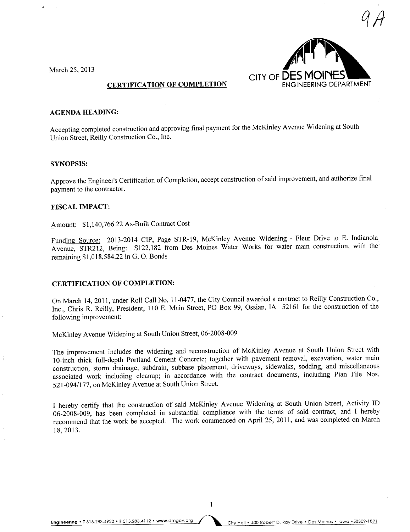



## CERTIFICATION OF COMPLETION

### AGENDA HEADING:

Accepting completed construction and approving final payment for the McKinley A venue Widening at South Union Street, Reily Construction Co., Inc.

#### SYNOPSIS:

Approve the Engineer's Certification of Completion, accept construction of said improvement, and authorize final payment to the contractor.

### FISCAL IMPACT:

Amount: \$1,140,766.22 As-Built Contract Cost

Funding Source: 2013-2014 CIP, Page STR-19, McKinley Avenue Widening - Fleur Drive to E. Indianola Avenue, STR212, Being: \$122,182 from Des Moines Water Works for water main construction, with the remaining \$1,018,584.22 in G. O. Bonds

## CERTIFICATION OF COMPLETION:

On March 14, 2011, under Roll Call No.1 1-0477, the City Council awarded a contract to Reily Construction Co., Inc., Chris R. Reily, President, 110 E. Main Street, PO Box 99, Ossian, IA 52161 for the construction of the following improvement:

McKinley Avenue Widening at South Union Street, 06-2008-009

The improvement includes the widening and reconstruction of McKinley A venue at South Union Street with lO-inch thick full-depth Portland Cement Concrete; together with pavement removal, excavation, water main construction, storm drainage, subdrain, subbase placement, driveways, sidewalks, sodding, and miscellaneous associated work including cleanup; in accordance with the contract documents, including Plan File Nos. 521-094/177, on McKinley A venue at South Union Street.

I hereby certify that the construction of said McKinley A venue Widening at South Union Street, Activity ID 06-2008-009, has been completed in substantial compliance with the terms of said contract, and I hereby recommend that the work be accepted. The work commenced on April 25, 2011, and was completed on March I 8, 2013.

 $\mathbf{1}$